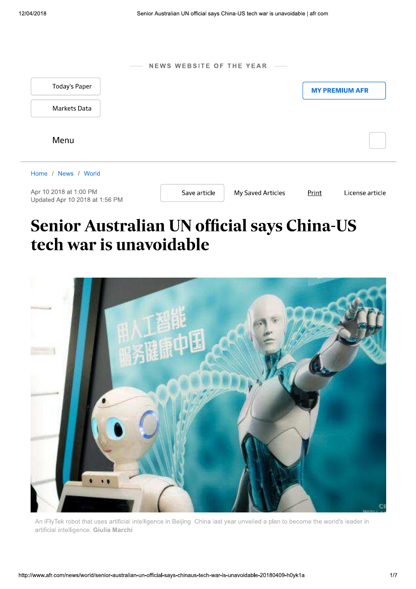| $\overline{\phantom{a}}$                                 | NEWS WEBSITE OF THE YEAR - |                   |       |                       |
|----------------------------------------------------------|----------------------------|-------------------|-------|-----------------------|
| <b>Today's Paper</b>                                     |                            |                   |       | <b>MY PREMIUM AFR</b> |
| Markets Data                                             |                            |                   |       |                       |
| Menu                                                     |                            |                   |       |                       |
| Home / News / World                                      |                            |                   |       |                       |
| Apr 10 2018 at 1:00 PM<br>Updated Apr 10 2018 at 1:56 PM | Save article               | My Saved Articles | Print | License article       |

# Senior Australian UN official says China-US tech war is unavoidable



An iFlyTek robot that uses artificial intelligence in Beijing. China last year unveiled a plan to become the world's leader in artificial intelligence. Giulia Marchi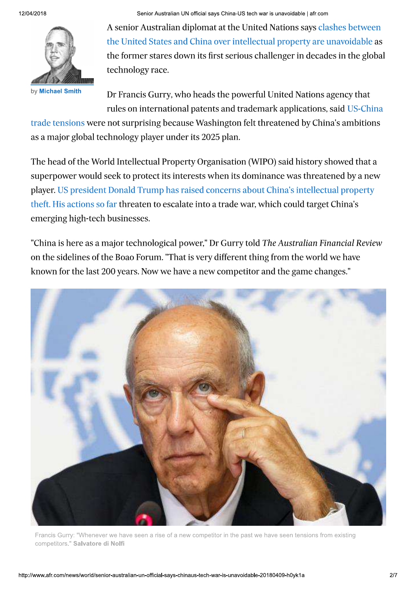by Michael Smith

Senior Australian UN official says China-US tech war is unavoidable | afr.com

A senior Australian diplomat at the United Nations says clashes between the United States and China over intellectual property are unavoidable as the former stares down its first serious challenger in decades in the global technology race.

Dr Francis Gurry, who heads the powerful United Nations agency that rules on international patents and trademark applications, said US-China

trade tensions were not surprising because Washington felt threatened by China's ambitions as a major global technology player under its 2025 plan.

The head of the World Intellectual Property Organisation (WIPO) said history showed that a superpower would seek to protect its interests when its dominance was threatened by a new player. US president Donald Trump has raised concerns about China's intellectual property theft. His actions so far threaten to escalate into a trade war, which could target China's emerging high-tech businesses.

"China is here as a major technological power," Dr Gurry told The Australian Financial Review on the sidelines of the Boao Forum. "That is very different thing from the world we have known for the last 200 years. Now we have a new competitor and the game changes."



Francis Gurry: "Whenever we have seen a rise of a new competitor in the past we have seen tensions from existing competitors." Salvatore di Nolfi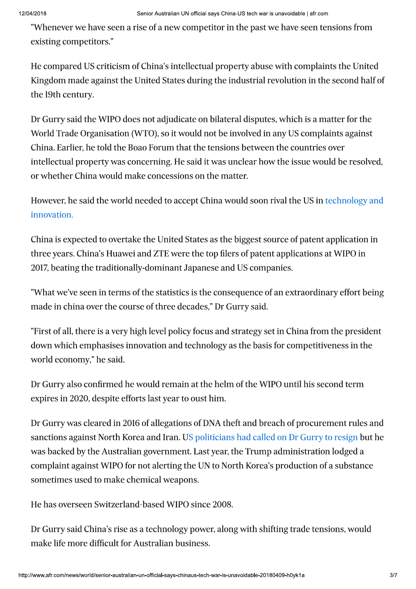"Whenever we have seen a rise of a new competitor in the past we have seen tensions from existing competitors."

He compared US criticism of China's intellectual property abuse with complaints the United Kingdom made against the United States during the industrial revolution in the second half of the 19th century.

Dr Gurry said the WIPO does not adjudicate on bilateral disputes, which is a matter for the World Trade Organisation (WTO), so it would not be involved in any US complaints against China. Earlier, he told the Boao Forum that the tensions between the countries over intellectual property was concerning. He said it was unclear how the issue would be resolved, or whether China would make concessions on the matter.

However, he said the world needed to accept China would soon rival the US in technology and innovation.

China is expected to overtake the United States as the biggest source of patent application in three years. China's Huawei and ZTE were the top filers of patent applications at WIPO in 2017, beating the traditionally-dominant Japanese and US companies.

"What we've seen in terms of the statistics is the consequence of an extraordinary effort being made in china over the course of three decades," Dr Gurry said.

"First of all, there is a very high level policy focus and strategy set in China from the president down which emphasises innovation and technology as the basis for competitiveness in the world economy," he said.

Dr Gurry also confirmed he would remain at the helm of the WIPO until his second term expires in 2020, despite efforts last year to oust him.

Dr Gurry was cleared in 2016 of allegations of DNA theft and breach of procurement rules and sanctions against North Korea and Iran. US politicians had called on Dr Gurry to resign but he was backed by the Australian government. Last year, the Trump administration lodged a complaint against WIPO for not alerting the UN to North Korea's production of a substance sometimes used to make chemical weapons.

He has overseen Switzerland-based WIPO since 2008.

Dr Gurry said China's rise as a technology power, along with shifting trade tensions, would make life more difficult for Australian business.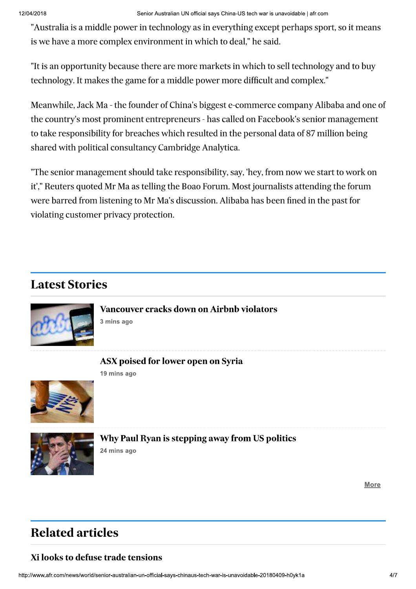"Australia is a middle power in technology as in everything except perhaps sport, so it means is we have a more complex environment in which to deal," he said.

"It is an opportunity because there are more markets in which to sell technology and to buy technology. It makes the game for a middle power more difficult and complex."

Meanwhile, Jack Ma - the founder of China's biggest e-commerce company Alibaba and one of the country's most prominent entrepreneurs - has called on Facebook's senior management to take responsibility for breaches which resulted in the personal data of 87 million being shared with political consultancy Cambridge Analytica.

"The senior management should take responsibility, say, 'hey, from now we start to work on it'," Reuters quoted Mr Ma as telling the Boao Forum. Most journalists attending the forum were barred from listening to Mr Ma's discussion. Alibaba has been fined in the past for violating customer privacy protection.

# **Latest Stories**



**Vancouver cracks down on Airbnb violators** 3 mins ago

### ASX poised for lower open on Syria

19 mins ago





Why Paul Ryan is stepping away from US politics 24 mins ago

**More** 

# **Related articles**

### Xi looks to defuse trade tensions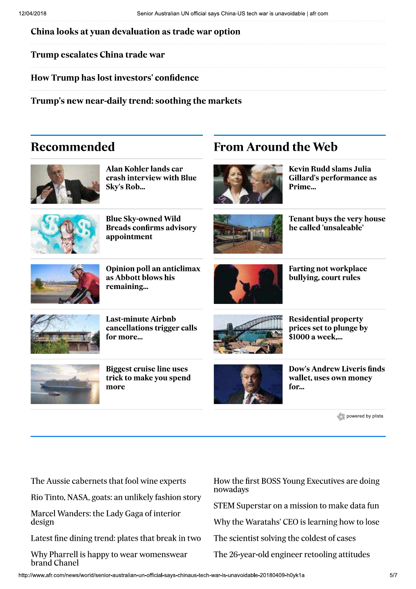China looks at yuan devaluation as trade war option

**Trump escalates China trade war** 

How Trump has lost investors' confidence

Trump's new near-daily trend: soothing the markets

## Recommended



Alan Kohler lands car crash interview with Blue Sky's Rob...



**Blue Sky-owned Wild Breads confirms advisory** appointment



Opinion poll an anticlimax as Abbott blows his remaining...



**Last-minute Airbnb** cancellations trigger calls for more...



**Biggest cruise line uses** trick to make you spend more



**From Around the Web** 

Kevin Rudd slams Julia **Gillard's performance as** Prime...



**Tenant buys the very house** he called 'unsaleable'



**Farting not workplace** bullying, court rules



**Residential property** prices set to plunge by \$1000 a week....



powered by plista

| The Aussie cabernets that fool wine experts              | H٥                   |
|----------------------------------------------------------|----------------------|
| Rio Tinto, NASA, goats: an unlikely fashion story        | nc<br>S <sub>1</sub> |
| Marcel Wanders: the Lady Gaga of interior<br>design      |                      |
| Latest fine dining trend: plates that break in two       | Tł                   |
| Why Pharrell is happy to wear womenswear<br>brand Chanel | Tł                   |

ow the first BOSS Young Executives are doing owadays

**TEM Superstar on a mission to make data fun** 

hy the Waratahs' CEO is learning how to lose

he scientist solving the coldest of cases

he 26-year-old engineer retooling attitudes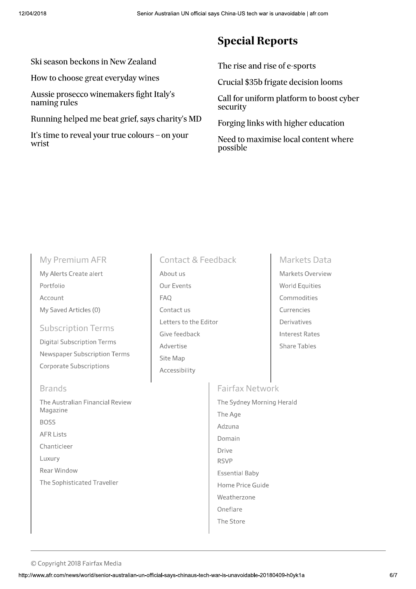#### Ski season beckons in New Zealand

How to choose great everyday wines

Aussie prosecco winemakers fight Italy's naming rules

Running helped me beat grief, says charity's MD

It's time to reveal your true colours - on your wrist

## **Special Reports**

The rise and rise of e-sports

Crucial \$35b frigate decision looms

Call for uniform platform to boost cyber security

Forging links with higher education

Need to maximise local content where possible

#### My Premium AFR

My Alerts Create alert Portfolio Account My Saved Articles (0)

#### **Subscription Terms**

**Digital Subscription Terms** Newspaper Subscription Terms Corporate Subscriptions

#### **Brands**

The Australian Financial Review Magazine **BOSS AFR Lists** Chanticleer Luxury Rear Window The Sophisticated Traveller

### **Contact & Feedback**

About us Our Events **FAQ** Contact us Letters to the Editor Give feedback Advertise Site Map Accessibility

#### **Markets Data**

Markets Overview World Equities Commodities Currencies Derivatives **Interest Rates Share Tables** 

#### **Fairfax Network**

The Sydney Morning Herald The Age Adzuna Domain Drive **RSVP Essential Baby** Home Price Guide Weatherzone Oneflare The Store

© Copyright 2018 Fairfax Media